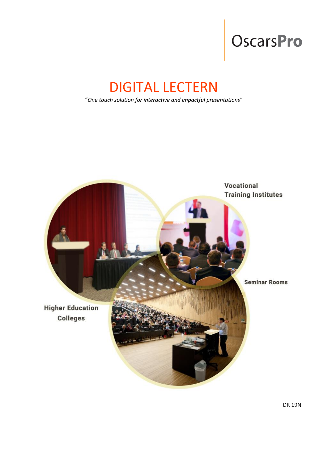# OscarsPro

# DIGITAL LECTERN

"*One touch solution for interactive and impactful presentations*"

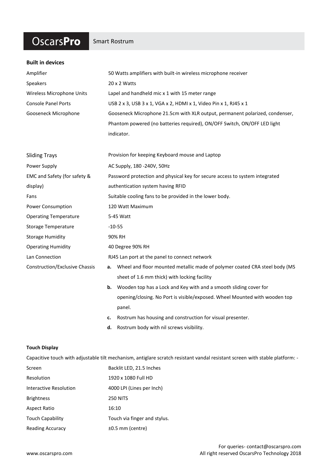### **OscarsPro**

#### Smart Rostrum

| <b>Built in devices</b>        |                                                                                  |
|--------------------------------|----------------------------------------------------------------------------------|
| Amplifier                      | 50 Watts amplifiers with built-in wireless microphone receiver                   |
| Speakers                       | 20 x 2 Watts                                                                     |
| Wireless Microphone Units      | Lapel and handheld mic x 1 with 15 meter range                                   |
| <b>Console Panel Ports</b>     | USB 2 x 3, USB 3 x 1, VGA x 2, HDMI x 1, Video Pin x 1, RJ45 x 1                 |
| Gooseneck Microphone           | Gooseneck Microphone 21.5cm with XLR output, permanent polarized, condenser,     |
|                                | Phantom powered (no batteries required), ON/OFF Switch, ON/OFF LED light         |
|                                | indicator.                                                                       |
|                                |                                                                                  |
| <b>Sliding Trays</b>           | Provision for keeping Keyboard mouse and Laptop                                  |
| Power Supply                   | AC Supply, 180 -240V, 50Hz                                                       |
| EMC and Safety (for safety &   | Password protection and physical key for secure access to system integrated      |
| display)                       | authentication system having RFID                                                |
| Fans                           | Suitable cooling fans to be provided in the lower body.                          |
| Power Consumption              | 120 Watt Maximum                                                                 |
| <b>Operating Temperature</b>   | 5-45 Watt                                                                        |
| <b>Storage Temperature</b>     | $-10-55$                                                                         |
| <b>Storage Humidity</b>        | 90% RH                                                                           |
| <b>Operating Humidity</b>      | 40 Degree 90% RH                                                                 |
| Lan Connection                 | RJ45 Lan port at the panel to connect network                                    |
| Construction/Exclusive Chassis | Wheel and floor mounted metallic made of polymer coated CRA steel body (MS<br>а. |
|                                | sheet of 1.6 mm thick) with locking facility                                     |
|                                | <b>b.</b> Wooden top has a Lock and Key with and a smooth sliding cover for      |
|                                | opening/closing. No Port is visible/exposed. Wheel Mounted with wooden top       |
|                                | panel.                                                                           |
|                                | Rostrum has housing and construction for visual presenter.<br>c.                 |
|                                | Rostrum body with nil screws visibility.<br>d.                                   |
|                                |                                                                                  |

#### **Touch Display**

Capacitive touch with adjustable tilt mechanism, antiglare scratch resistant vandal resistant screen with stable platform: -

| Resolution<br>1920 x 1080 Full HD<br>4000 LPI (Lines per Inch)<br>Interactive Resolution<br><b>Brightness</b><br><b>250 NITS</b><br>16:10<br><b>Aspect Ratio</b><br><b>Touch Capability</b><br>$±0.5$ mm (centre)<br><b>Reading Accuracy</b> | Screen | Backlit LED, 21.5 Inches     |
|----------------------------------------------------------------------------------------------------------------------------------------------------------------------------------------------------------------------------------------------|--------|------------------------------|
|                                                                                                                                                                                                                                              |        |                              |
|                                                                                                                                                                                                                                              |        |                              |
|                                                                                                                                                                                                                                              |        |                              |
|                                                                                                                                                                                                                                              |        |                              |
|                                                                                                                                                                                                                                              |        | Touch via finger and stylus. |
|                                                                                                                                                                                                                                              |        |                              |